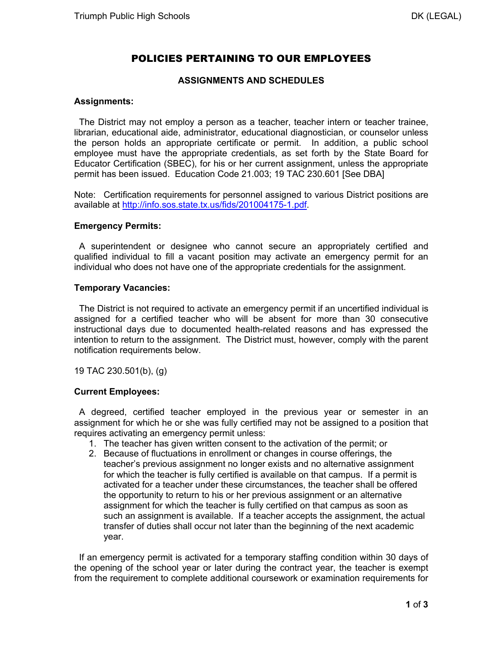# POLICIES PERTAINING TO OUR EMPLOYEES

## **ASSIGNMENTS AND SCHEDULES**

### **Assignments:**

 The District may not employ a person as a teacher, teacher intern or teacher trainee, librarian, educational aide, administrator, educational diagnostician, or counselor unless the person holds an appropriate certificate or permit. In addition, a public school employee must have the appropriate credentials, as set forth by the State Board for Educator Certification (SBEC), for his or her current assignment, unless the appropriate permit has been issued. Education Code 21.003; 19 TAC 230.601 [See DBA]

Note: Certification requirements for personnel assigned to various District positions are available at http://info.sos.state.tx.us/fids/201004175-1.pdf.

## **Emergency Permits:**

 A superintendent or designee who cannot secure an appropriately certified and qualified individual to fill a vacant position may activate an emergency permit for an individual who does not have one of the appropriate credentials for the assignment.

#### **Temporary Vacancies:**

 The District is not required to activate an emergency permit if an uncertified individual is assigned for a certified teacher who will be absent for more than 30 consecutive instructional days due to documented health-related reasons and has expressed the intention to return to the assignment. The District must, however, comply with the parent notification requirements below.

19 TAC 230.501(b), (g)

#### **Current Employees:**

 A degreed, certified teacher employed in the previous year or semester in an assignment for which he or she was fully certified may not be assigned to a position that requires activating an emergency permit unless:

- 1. The teacher has given written consent to the activation of the permit; or
- 2. Because of fluctuations in enrollment or changes in course offerings, the teacher's previous assignment no longer exists and no alternative assignment for which the teacher is fully certified is available on that campus. If a permit is activated for a teacher under these circumstances, the teacher shall be offered the opportunity to return to his or her previous assignment or an alternative assignment for which the teacher is fully certified on that campus as soon as such an assignment is available. If a teacher accepts the assignment, the actual transfer of duties shall occur not later than the beginning of the next academic year.

 If an emergency permit is activated for a temporary staffing condition within 30 days of the opening of the school year or later during the contract year, the teacher is exempt from the requirement to complete additional coursework or examination requirements for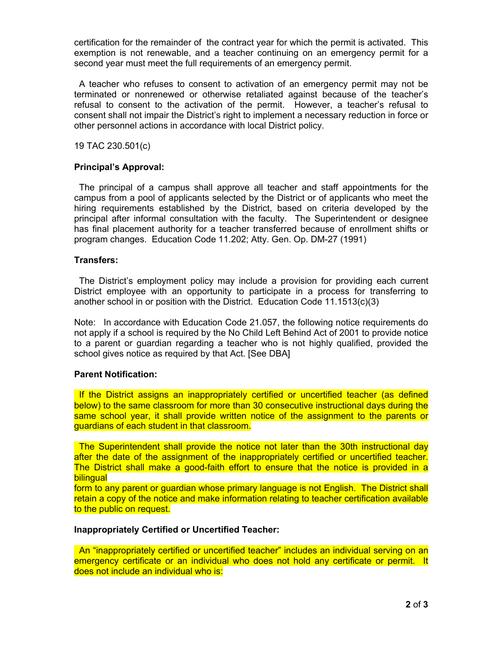certification for the remainder of the contract year for which the permit is activated. This exemption is not renewable, and a teacher continuing on an emergency permit for a second year must meet the full requirements of an emergency permit.

 A teacher who refuses to consent to activation of an emergency permit may not be terminated or nonrenewed or otherwise retaliated against because of the teacher's refusal to consent to the activation of the permit. However, a teacher's refusal to consent shall not impair the District's right to implement a necessary reduction in force or other personnel actions in accordance with local District policy.

19 TAC 230.501(c)

## **Principal's Approval:**

 The principal of a campus shall approve all teacher and staff appointments for the campus from a pool of applicants selected by the District or of applicants who meet the hiring requirements established by the District, based on criteria developed by the principal after informal consultation with the faculty. The Superintendent or designee has final placement authority for a teacher transferred because of enrollment shifts or program changes. Education Code 11.202; Atty. Gen. Op. DM-27 (1991)

## **Transfers:**

 The District's employment policy may include a provision for providing each current District employee with an opportunity to participate in a process for transferring to another school in or position with the District. Education Code 11.1513(c)(3)

Note: In accordance with Education Code 21.057, the following notice requirements do not apply if a school is required by the No Child Left Behind Act of 2001 to provide notice to a parent or guardian regarding a teacher who is not highly qualified, provided the school gives notice as required by that Act. [See DBA]

#### **Parent Notification:**

 If the District assigns an inappropriately certified or uncertified teacher (as defined below) to the same classroom for more than 30 consecutive instructional days during the same school year, it shall provide written notice of the assignment to the parents or guardians of each student in that classroom.

 The Superintendent shall provide the notice not later than the 30th instructional day after the date of the assignment of the inappropriately certified or uncertified teacher. The District shall make a good-faith effort to ensure that the notice is provided in a bilingual

form to any parent or guardian whose primary language is not English. The District shall retain a copy of the notice and make information relating to teacher certification available to the public on request.

#### **Inappropriately Certified or Uncertified Teacher:**

 An "inappropriately certified or uncertified teacher" includes an individual serving on an emergency certificate or an individual who does not hold any certificate or permit. It does not include an individual who is: